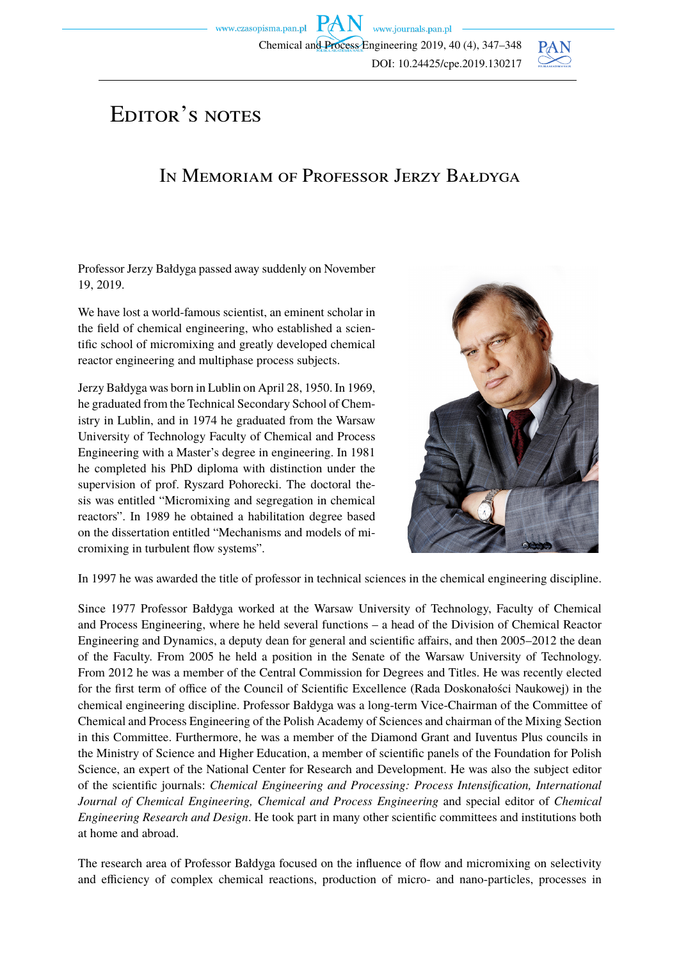www.czasopisma.pan.pl  $PAN$  www.journals.pan.pl Chemical and Process Engineering 2019, 40 (4), 347–348 DOI: 10.24425/cpe.2019.130217



## EDITOR'S NOTES

## In Memoriam of Professor Jerzy Bałdyga

Professor Jerzy Bałdyga passed away suddenly on November 19, 2019.

We have lost a world-famous scientist, an eminent scholar in the field of chemical engineering, who established a scientific school of micromixing and greatly developed chemical reactor engineering and multiphase process subjects.

Jerzy Bałdyga was born in Lublin on April 28, 1950. In 1969, he graduated from the Technical Secondary School of Chemistry in Lublin, and in 1974 he graduated from the Warsaw University of Technology Faculty of Chemical and Process Engineering with a Master's degree in engineering. In 1981 he completed his PhD diploma with distinction under the supervision of prof. Ryszard Pohorecki. The doctoral thesis was entitled "Micromixing and segregation in chemical reactors". In 1989 he obtained a habilitation degree based on the dissertation entitled "Mechanisms and models of micromixing in turbulent flow systems".



In 1997 he was awarded the title of professor in technical sciences in the chemical engineering discipline.

Since 1977 Professor Bałdyga worked at the Warsaw University of Technology, Faculty of Chemical and Process Engineering, where he held several functions – a head of the Division of Chemical Reactor Engineering and Dynamics, a deputy dean for general and scientific affairs, and then 2005–2012 the dean of the Faculty. From 2005 he held a position in the Senate of the Warsaw University of Technology. From 2012 he was a member of the Central Commission for Degrees and Titles. He was recently elected for the first term of office of the Council of Scientific Excellence (Rada Doskonałości Naukowej) in the chemical engineering discipline. Professor Bałdyga was a long-term Vice-Chairman of the Committee of Chemical and Process Engineering of the Polish Academy of Sciences and chairman of the Mixing Section in this Committee. Furthermore, he was a member of the Diamond Grant and Iuventus Plus councils in the Ministry of Science and Higher Education, a member of scientific panels of the Foundation for Polish Science, an expert of the National Center for Research and Development. He was also the subject editor of the scientific journals: *Chemical Engineering and Processing: Process Intensification, International Journal of Chemical Engineering, Chemical and Process Engineering* and special editor of *Chemical Engineering Research and Design*. He took part in many other scientific committees and institutions both at home and abroad.

The research area of Professor Bałdyga focused on the influence of flow and micromixing on selectivity and efficiency of complex chemical reactions, production of micro- and nano-particles, processes in